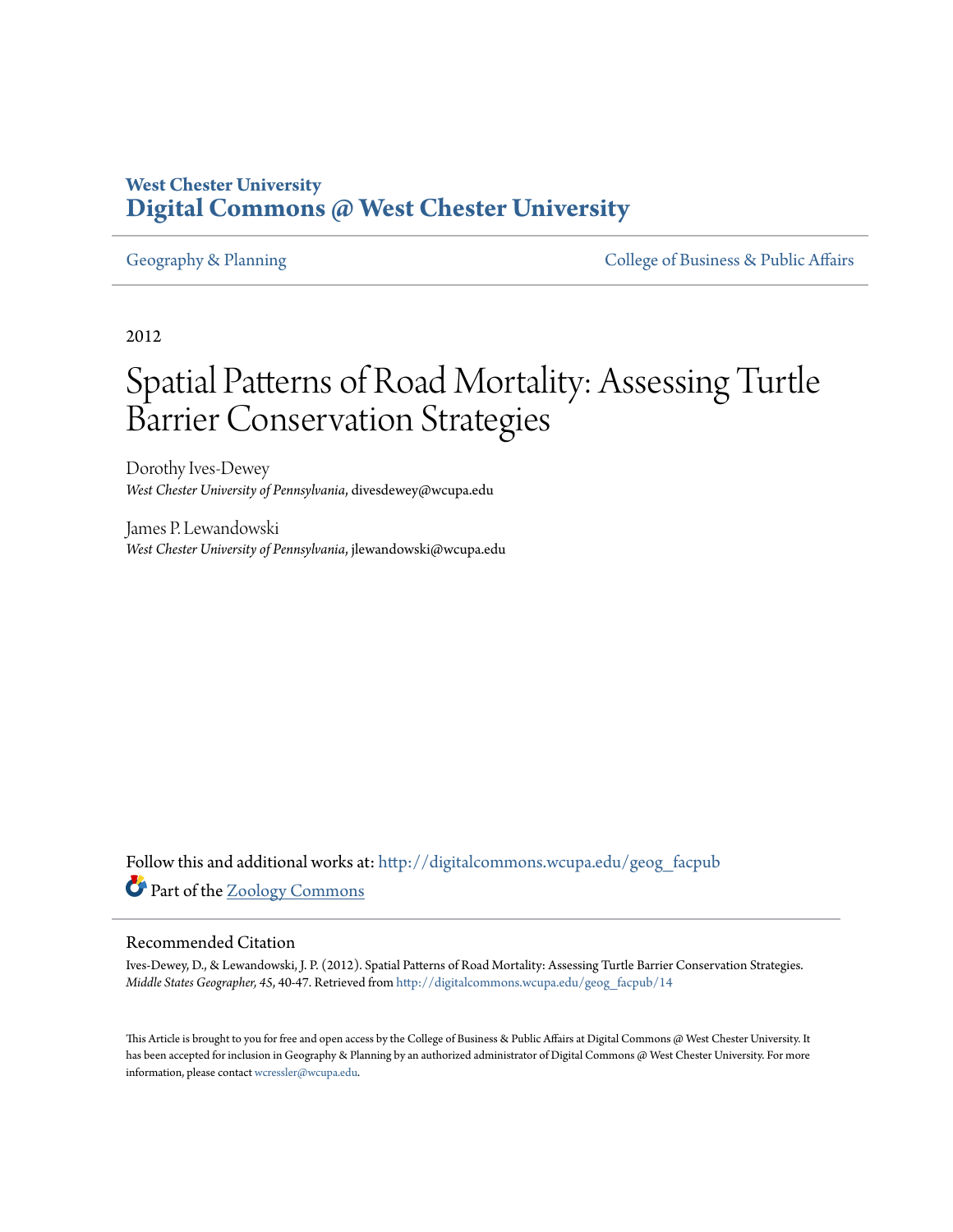# **West Chester University [Digital Commons @ West Chester University](http://digitalcommons.wcupa.edu?utm_source=digitalcommons.wcupa.edu%2Fgeog_facpub%2F14&utm_medium=PDF&utm_campaign=PDFCoverPages)**

[Geography & Planning](http://digitalcommons.wcupa.edu/geog_facpub?utm_source=digitalcommons.wcupa.edu%2Fgeog_facpub%2F14&utm_medium=PDF&utm_campaign=PDFCoverPages) The [College of Business & Public Affairs](http://digitalcommons.wcupa.edu/cbpa?utm_source=digitalcommons.wcupa.edu%2Fgeog_facpub%2F14&utm_medium=PDF&utm_campaign=PDFCoverPages)

2012

# Spatial Patterns of Road Mortality: Assessing Turtle Barrier Conservation Strategies

Dorothy Ives-Dewey *West Chester University of Pennsylvania*, divesdewey@wcupa.edu

James P. Lewandowski *West Chester University of Pennsylvania*, jlewandowski@wcupa.edu

Follow this and additional works at: [http://digitalcommons.wcupa.edu/geog\\_facpub](http://digitalcommons.wcupa.edu/geog_facpub?utm_source=digitalcommons.wcupa.edu%2Fgeog_facpub%2F14&utm_medium=PDF&utm_campaign=PDFCoverPages) Part of the [Zoology Commons](http://network.bepress.com/hgg/discipline/81?utm_source=digitalcommons.wcupa.edu%2Fgeog_facpub%2F14&utm_medium=PDF&utm_campaign=PDFCoverPages)

#### Recommended Citation

Ives-Dewey, D., & Lewandowski, J. P. (2012). Spatial Patterns of Road Mortality: Assessing Turtle Barrier Conservation Strategies. *Middle States Geographer, 45*, 40-47. Retrieved from [http://digitalcommons.wcupa.edu/geog\\_facpub/14](http://digitalcommons.wcupa.edu/geog_facpub/14?utm_source=digitalcommons.wcupa.edu%2Fgeog_facpub%2F14&utm_medium=PDF&utm_campaign=PDFCoverPages)

This Article is brought to you for free and open access by the College of Business & Public Affairs at Digital Commons @ West Chester University. It has been accepted for inclusion in Geography & Planning by an authorized administrator of Digital Commons @ West Chester University. For more information, please contact [wcressler@wcupa.edu.](mailto:wcressler@wcupa.edu)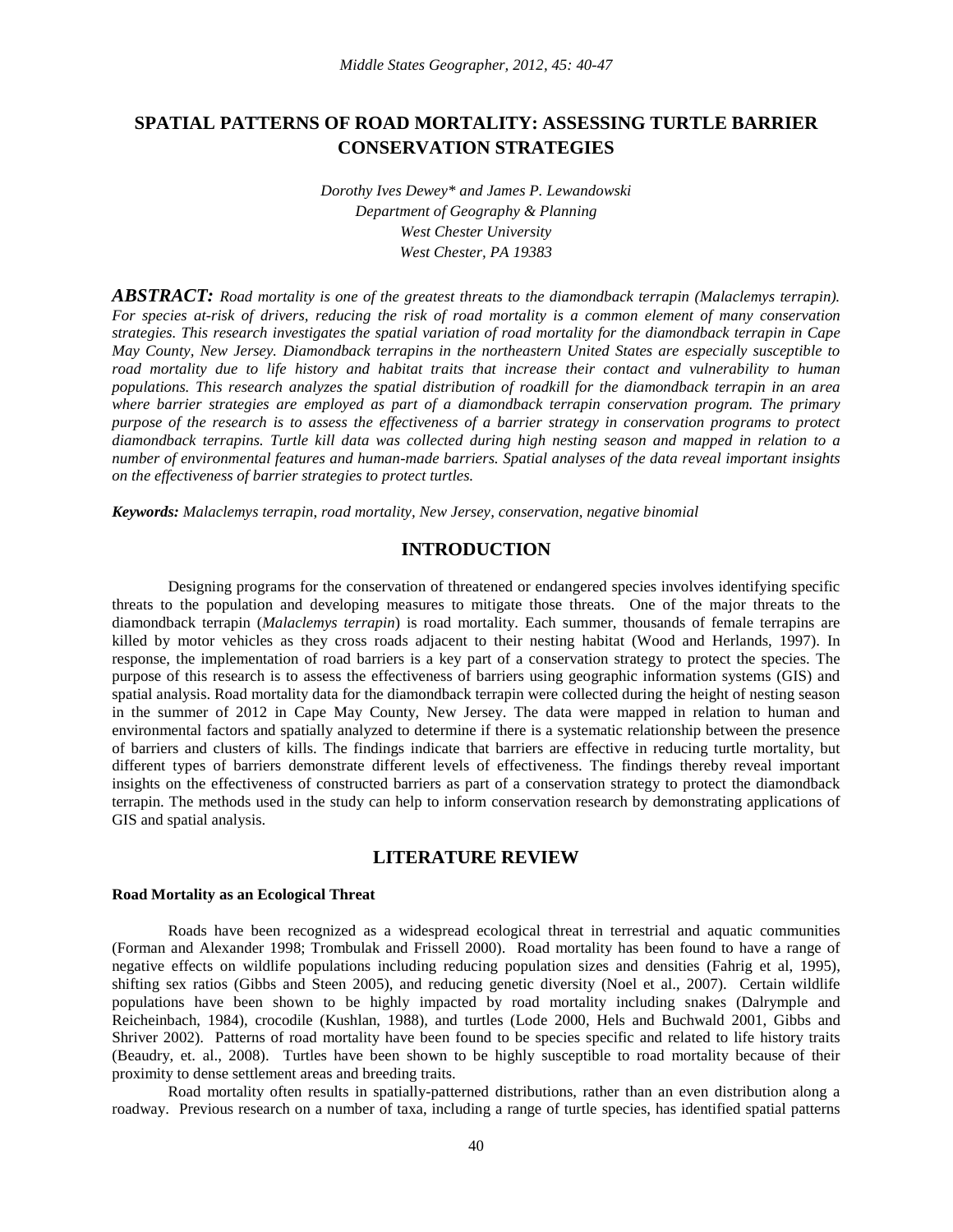## **SPATIAL PATTERNS OF ROAD MORTALITY: ASSESSING TURTLE BARRIER CONSERVATION STRATEGIES**

*Dorothy Ives Dewey\* and James P. Lewandowski Department of Geography & Planning West Chester University West Chester, PA 19383*

*ABSTRACT: Road mortality is one of the greatest threats to the diamondback terrapin (Malaclemys terrapin). For species at-risk of drivers, reducing the risk of road mortality is a common element of many conservation strategies. This research investigates the spatial variation of road mortality for the diamondback terrapin in Cape May County, New Jersey. Diamondback terrapins in the northeastern United States are especially susceptible to road mortality due to life history and habitat traits that increase their contact and vulnerability to human populations. This research analyzes the spatial distribution of roadkill for the diamondback terrapin in an area where barrier strategies are employed as part of a diamondback terrapin conservation program. The primary purpose of the research is to assess the effectiveness of a barrier strategy in conservation programs to protect diamondback terrapins. Turtle kill data was collected during high nesting season and mapped in relation to a number of environmental features and human-made barriers. Spatial analyses of the data reveal important insights on the effectiveness of barrier strategies to protect turtles.* 

*Keywords: Malaclemys terrapin*, *road mortality, New Jersey, conservation, negative binomial*

#### **INTRODUCTION**

Designing programs for the conservation of threatened or endangered species involves identifying specific threats to the population and developing measures to mitigate those threats. One of the major threats to the diamondback terrapin (*Malaclemys terrapin*) is road mortality. Each summer, thousands of female terrapins are killed by motor vehicles as they cross roads adjacent to their nesting habitat (Wood and Herlands, 1997). In response, the implementation of road barriers is a key part of a conservation strategy to protect the species. The purpose of this research is to assess the effectiveness of barriers using geographic information systems (GIS) and spatial analysis. Road mortality data for the diamondback terrapin were collected during the height of nesting season in the summer of 2012 in Cape May County, New Jersey. The data were mapped in relation to human and environmental factors and spatially analyzed to determine if there is a systematic relationship between the presence of barriers and clusters of kills. The findings indicate that barriers are effective in reducing turtle mortality, but different types of barriers demonstrate different levels of effectiveness. The findings thereby reveal important insights on the effectiveness of constructed barriers as part of a conservation strategy to protect the diamondback terrapin. The methods used in the study can help to inform conservation research by demonstrating applications of GIS and spatial analysis.

### **LITERATURE REVIEW**

#### **Road Mortality as an Ecological Threat**

Roads have been recognized as a widespread ecological threat in terrestrial and aquatic communities (Forman and Alexander 1998; Trombulak and Frissell 2000). Road mortality has been found to have a range of negative effects on wildlife populations including reducing population sizes and densities (Fahrig et al, 1995), shifting sex ratios (Gibbs and Steen 2005), and reducing genetic diversity (Noel et al., 2007). Certain wildlife populations have been shown to be highly impacted by road mortality including snakes (Dalrymple and Reicheinbach, 1984), crocodile (Kushlan, 1988), and turtles (Lode 2000, Hels and Buchwald 2001, Gibbs and Shriver 2002). Patterns of road mortality have been found to be species specific and related to life history traits (Beaudry, et. al., 2008). Turtles have been shown to be highly susceptible to road mortality because of their proximity to dense settlement areas and breeding traits.

Road mortality often results in spatially-patterned distributions, rather than an even distribution along a roadway. Previous research on a number of taxa, including a range of turtle species, has identified spatial patterns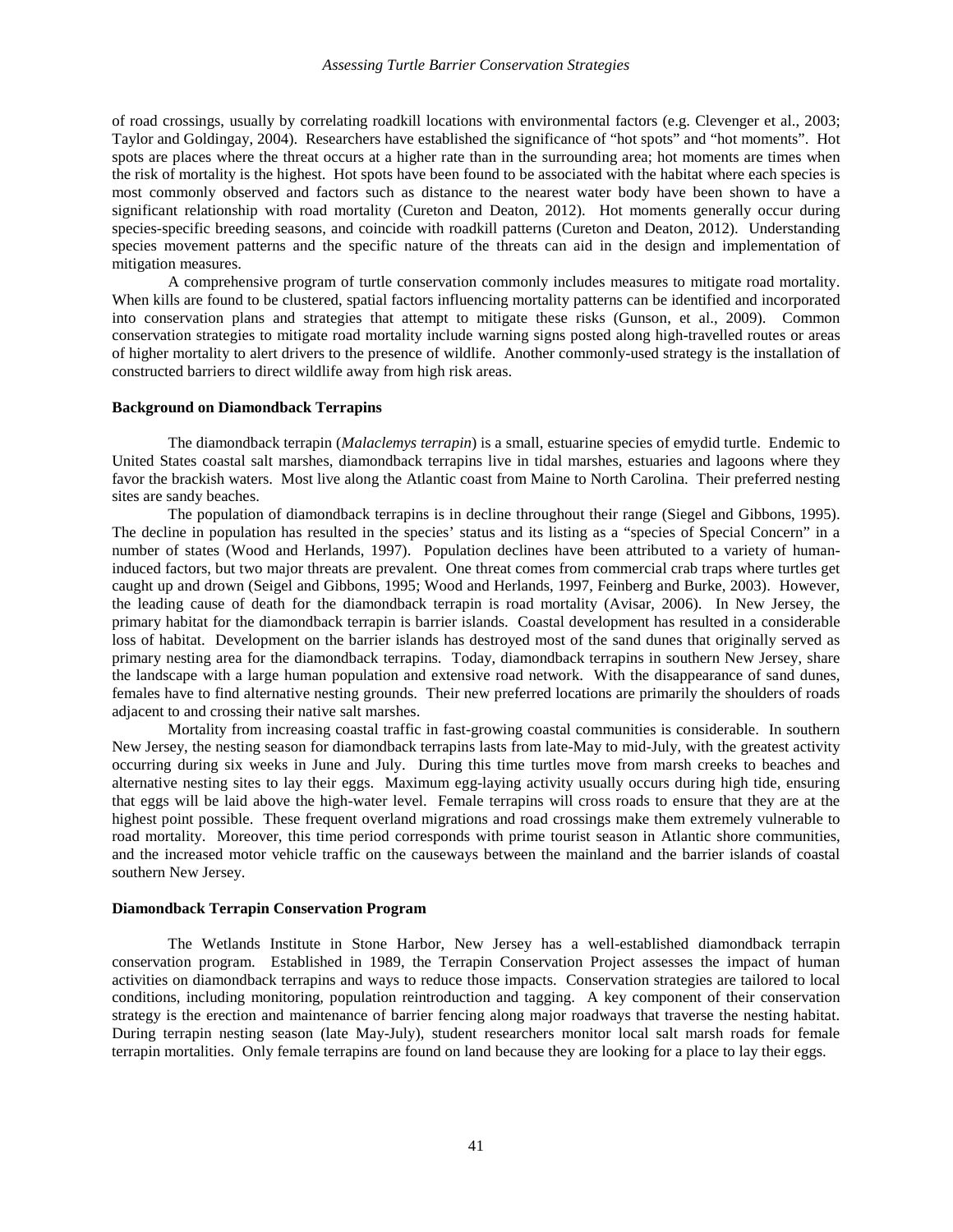#### *Assessing Turtle Barrier Conservation Strategies*

of road crossings, usually by correlating roadkill locations with environmental factors (e.g. Clevenger et al., 2003; Taylor and Goldingay, 2004). Researchers have established the significance of "hot spots" and "hot moments". Hot spots are places where the threat occurs at a higher rate than in the surrounding area; hot moments are times when the risk of mortality is the highest. Hot spots have been found to be associated with the habitat where each species is most commonly observed and factors such as distance to the nearest water body have been shown to have a significant relationship with road mortality (Cureton and Deaton, 2012). Hot moments generally occur during species-specific breeding seasons, and coincide with roadkill patterns (Cureton and Deaton, 2012). Understanding species movement patterns and the specific nature of the threats can aid in the design and implementation of mitigation measures.

A comprehensive program of turtle conservation commonly includes measures to mitigate road mortality. When kills are found to be clustered, spatial factors influencing mortality patterns can be identified and incorporated into conservation plans and strategies that attempt to mitigate these risks (Gunson, et al., 2009). Common conservation strategies to mitigate road mortality include warning signs posted along high-travelled routes or areas of higher mortality to alert drivers to the presence of wildlife. Another commonly-used strategy is the installation of constructed barriers to direct wildlife away from high risk areas.

#### **Background on Diamondback Terrapins**

The diamondback terrapin (*Malaclemys terrapin*) is a small, estuarine species of emydid turtle. Endemic to United States coastal salt marshes, diamondback terrapins live in tidal marshes, estuaries and lagoons where they favor the brackish waters. Most live along the Atlantic coast from Maine to North Carolina. Their preferred nesting sites are sandy beaches.

The population of diamondback terrapins is in decline throughout their range (Siegel and Gibbons, 1995). The decline in population has resulted in the species' status and its listing as a "species of Special Concern" in a number of states (Wood and Herlands, 1997). Population declines have been attributed to a variety of humaninduced factors, but two major threats are prevalent. One threat comes from commercial crab traps where turtles get caught up and drown (Seigel and Gibbons, 1995; Wood and Herlands, 1997, Feinberg and Burke, 2003). However, the leading cause of death for the diamondback terrapin is road mortality (Avisar, 2006). In New Jersey, the primary habitat for the diamondback terrapin is barrier islands. Coastal development has resulted in a considerable loss of habitat. Development on the barrier islands has destroyed most of the sand dunes that originally served as primary nesting area for the diamondback terrapins. Today, diamondback terrapins in southern New Jersey, share the landscape with a large human population and extensive road network. With the disappearance of sand dunes, females have to find alternative nesting grounds. Their new preferred locations are primarily the shoulders of roads adjacent to and crossing their native salt marshes.

Mortality from increasing coastal traffic in fast-growing coastal communities is considerable. In southern New Jersey, the nesting season for diamondback terrapins lasts from late-May to mid-July, with the greatest activity occurring during six weeks in June and July. During this time turtles move from marsh creeks to beaches and alternative nesting sites to lay their eggs. Maximum egg-laying activity usually occurs during high tide, ensuring that eggs will be laid above the high-water level. Female terrapins will cross roads to ensure that they are at the highest point possible. These frequent overland migrations and road crossings make them extremely vulnerable to road mortality. Moreover, this time period corresponds with prime tourist season in Atlantic shore communities, and the increased motor vehicle traffic on the causeways between the mainland and the barrier islands of coastal southern New Jersey.

#### **Diamondback Terrapin Conservation Program**

The Wetlands Institute in Stone Harbor, New Jersey has a well-established diamondback terrapin conservation program. Established in 1989, the Terrapin Conservation Project assesses the impact of human activities on diamondback terrapins and ways to reduce those impacts. Conservation strategies are tailored to local conditions, including monitoring, population reintroduction and tagging. A key component of their conservation strategy is the erection and maintenance of barrier fencing along major roadways that traverse the nesting habitat. During terrapin nesting season (late May-July), student researchers monitor local salt marsh roads for female terrapin mortalities. Only female terrapins are found on land because they are looking for a place to lay their eggs.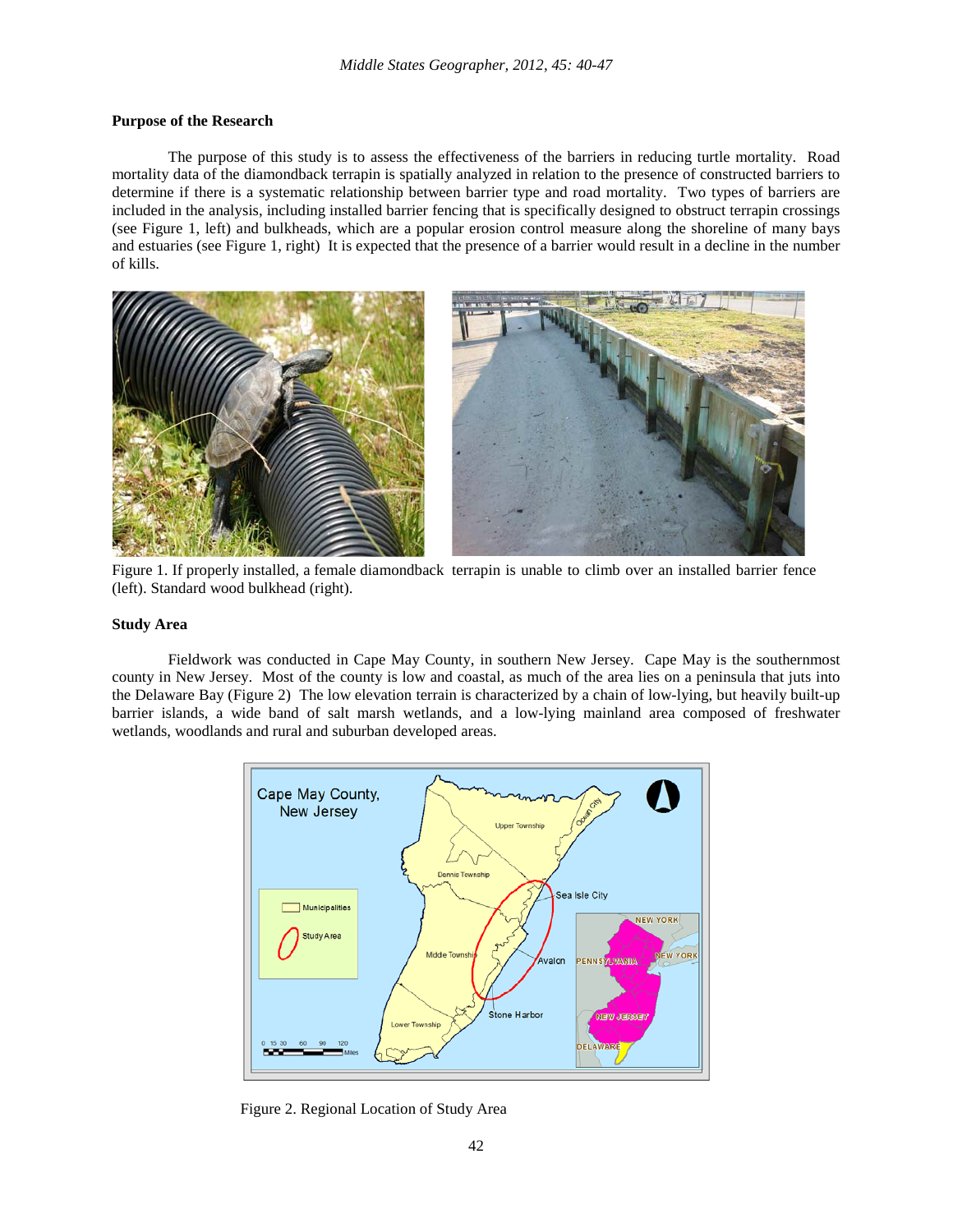#### **Purpose of the Research**

The purpose of this study is to assess the effectiveness of the barriers in reducing turtle mortality. Road mortality data of the diamondback terrapin is spatially analyzed in relation to the presence of constructed barriers to determine if there is a systematic relationship between barrier type and road mortality. Two types of barriers are included in the analysis, including installed barrier fencing that is specifically designed to obstruct terrapin crossings (see Figure 1, left) and bulkheads, which are a popular erosion control measure along the shoreline of many bays and estuaries (see Figure 1, right) It is expected that the presence of a barrier would result in a decline in the number of kills.



Figure 1. If properly installed, a female diamondback terrapin is unable to climb over an installed barrier fence (left). Standard wood bulkhead (right).

#### **Study Area**

Fieldwork was conducted in Cape May County, in southern New Jersey. Cape May is the southernmost county in New Jersey. Most of the county is low and coastal, as much of the area lies on a peninsula that juts into the Delaware Bay (Figure 2) The low elevation terrain is characterized by a chain of low-lying, but heavily built-up barrier islands, a wide band of salt marsh wetlands, and a low-lying mainland area composed of freshwater wetlands, woodlands and rural and suburban developed areas.



Figure 2. Regional Location of Study Area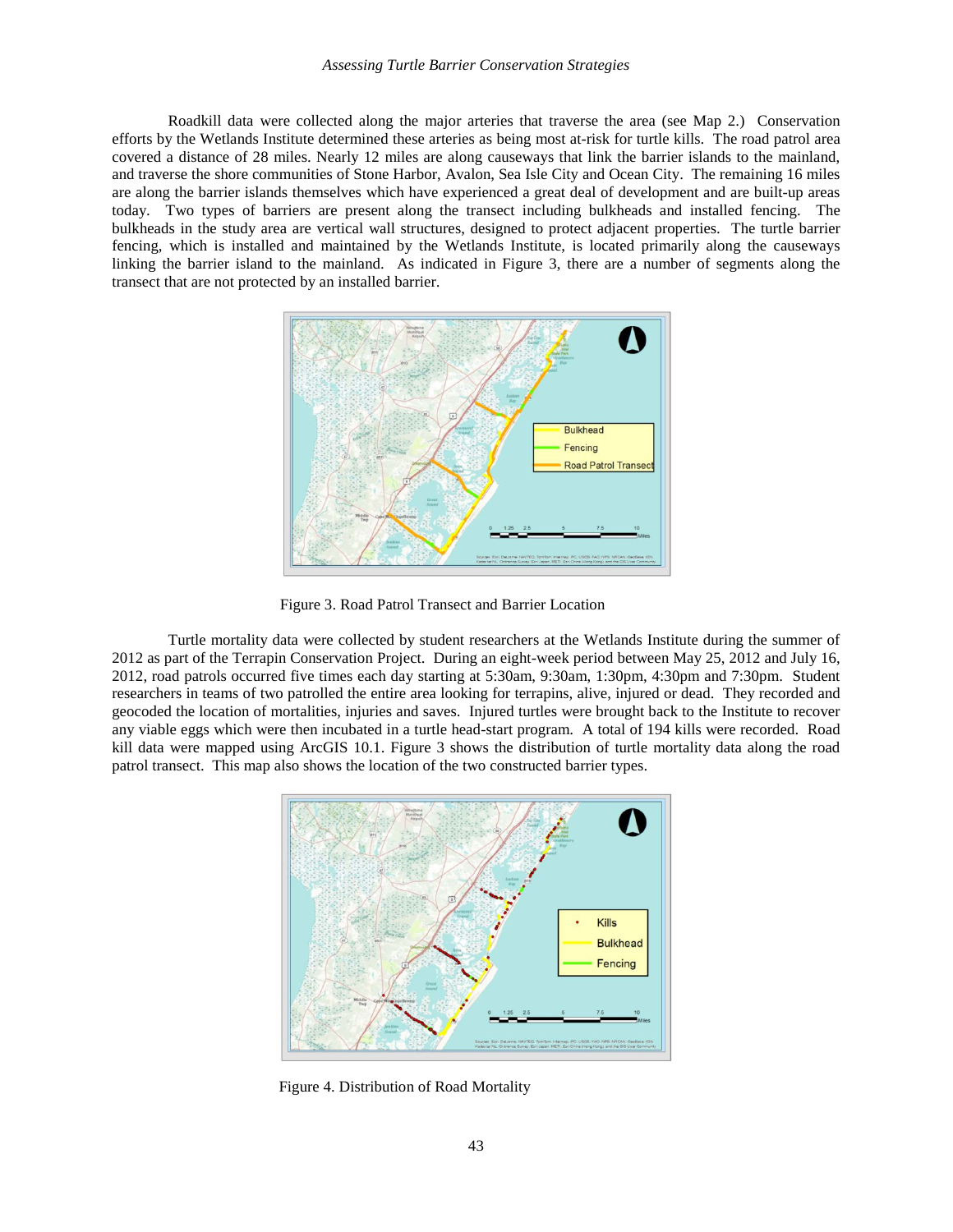#### *Assessing Turtle Barrier Conservation Strategies*

Roadkill data were collected along the major arteries that traverse the area (see Map 2.) Conservation efforts by the Wetlands Institute determined these arteries as being most at-risk for turtle kills. The road patrol area covered a distance of 28 miles. Nearly 12 miles are along causeways that link the barrier islands to the mainland, and traverse the shore communities of Stone Harbor, Avalon, Sea Isle City and Ocean City. The remaining 16 miles are along the barrier islands themselves which have experienced a great deal of development and are built-up areas today. Two types of barriers are present along the transect including bulkheads and installed fencing. The bulkheads in the study area are vertical wall structures, designed to protect adjacent properties. The turtle barrier fencing, which is installed and maintained by the Wetlands Institute, is located primarily along the causeways linking the barrier island to the mainland. As indicated in Figure 3, there are a number of segments along the transect that are not protected by an installed barrier.



Figure 3. Road Patrol Transect and Barrier Location

Turtle mortality data were collected by student researchers at the Wetlands Institute during the summer of 2012 as part of the Terrapin Conservation Project. During an eight-week period between May 25, 2012 and July 16, 2012, road patrols occurred five times each day starting at 5:30am, 9:30am, 1:30pm, 4:30pm and 7:30pm. Student researchers in teams of two patrolled the entire area looking for terrapins, alive, injured or dead. They recorded and geocoded the location of mortalities, injuries and saves. Injured turtles were brought back to the Institute to recover any viable eggs which were then incubated in a turtle head-start program. A total of 194 kills were recorded. Road kill data were mapped using ArcGIS 10.1. Figure 3 shows the distribution of turtle mortality data along the road patrol transect. This map also shows the location of the two constructed barrier types.



Figure 4. Distribution of Road Mortality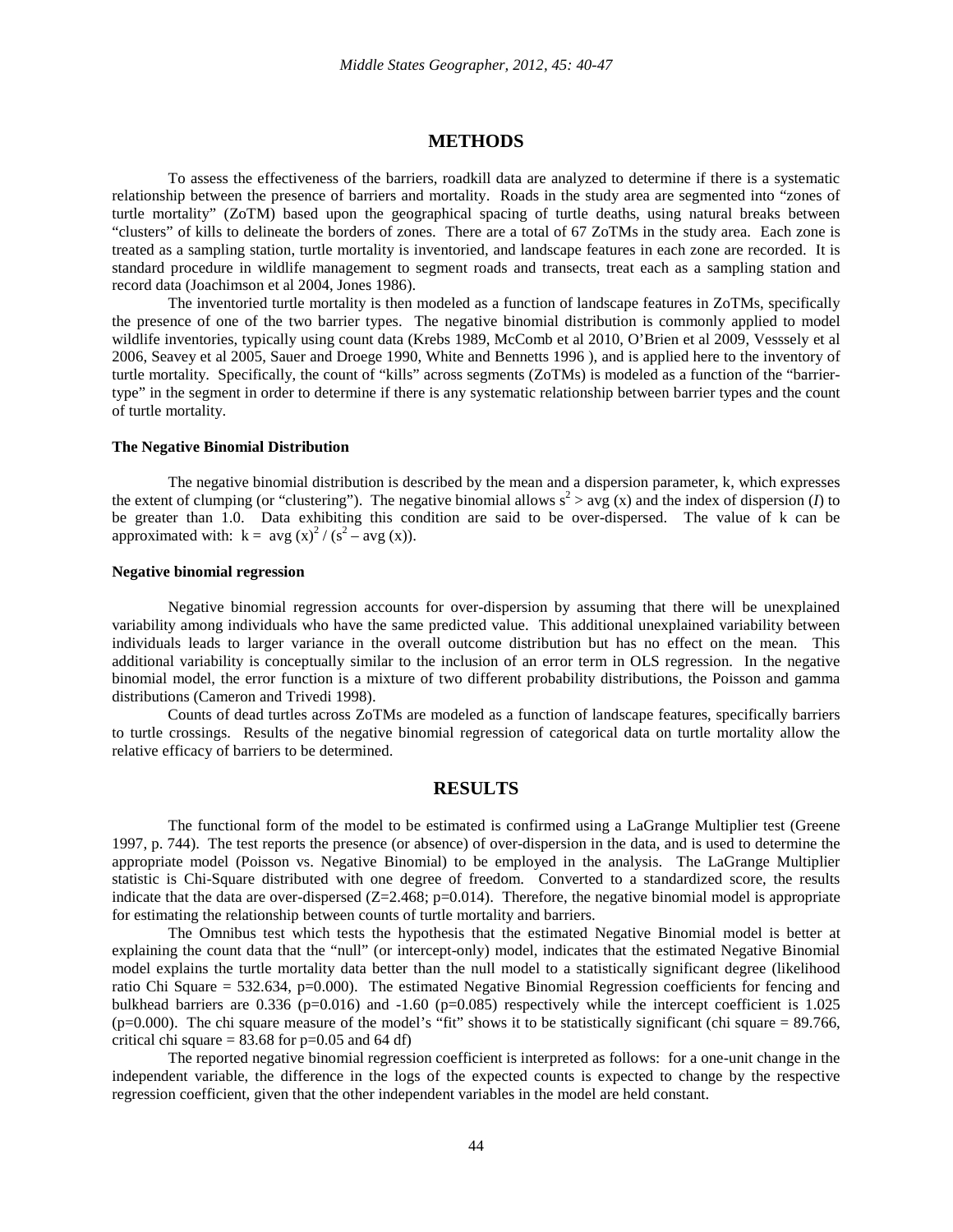#### **METHODS**

To assess the effectiveness of the barriers, roadkill data are analyzed to determine if there is a systematic relationship between the presence of barriers and mortality. Roads in the study area are segmented into "zones of turtle mortality" (ZoTM) based upon the geographical spacing of turtle deaths, using natural breaks between "clusters" of kills to delineate the borders of zones. There are a total of 67 ZoTMs in the study area. Each zone is treated as a sampling station, turtle mortality is inventoried, and landscape features in each zone are recorded. It is standard procedure in wildlife management to segment roads and transects, treat each as a sampling station and record data (Joachimson et al 2004, Jones 1986).

The inventoried turtle mortality is then modeled as a function of landscape features in ZoTMs, specifically the presence of one of the two barrier types. The negative binomial distribution is commonly applied to model wildlife inventories, typically using count data (Krebs 1989, McComb et al 2010, O'Brien et al 2009, Vesssely et al 2006, Seavey et al 2005, Sauer and Droege 1990, White and Bennetts 1996 ), and is applied here to the inventory of turtle mortality. Specifically, the count of "kills" across segments (ZoTMs) is modeled as a function of the "barriertype" in the segment in order to determine if there is any systematic relationship between barrier types and the count of turtle mortality.

#### **The Negative Binomial Distribution**

The negative binomial distribution is described by the mean and a dispersion parameter, k, which expresses the extent of clumping (or "clustering"). The negative binomial allows  $s^2 > avg(x)$  and the index of dispersion (*I*) to be greater than 1.0. Data exhibiting this condition are said to be over-dispersed. The value of k can be approximated with:  $k = avg(x)^2 / (s^2 - avg(x))$ .

#### **Negative binomial regression**

Negative binomial regression accounts for over-dispersion by assuming that there will be unexplained variability among individuals who have the same predicted value. This additional unexplained variability between individuals leads to larger variance in the overall outcome distribution but has no effect on the mean. This additional variability is conceptually similar to the inclusion of an error term in OLS regression. In the negative binomial model, the error function is a mixture of two different probability distributions, the Poisson and gamma distributions (Cameron and Trivedi 1998).

Counts of dead turtles across ZoTMs are modeled as a function of landscape features, specifically barriers to turtle crossings. Results of the negative binomial regression of categorical data on turtle mortality allow the relative efficacy of barriers to be determined.

#### **RESULTS**

The functional form of the model to be estimated is confirmed using a LaGrange Multiplier test (Greene 1997, p. 744). The test reports the presence (or absence) of over-dispersion in the data, and is used to determine the appropriate model (Poisson vs. Negative Binomial) to be employed in the analysis. The LaGrange Multiplier statistic is Chi-Square distributed with one degree of freedom. Converted to a standardized score, the results indicate that the data are over-dispersed  $(Z=2.468; p=0.014)$ . Therefore, the negative binomial model is appropriate for estimating the relationship between counts of turtle mortality and barriers.

The Omnibus test which tests the hypothesis that the estimated Negative Binomial model is better at explaining the count data that the "null" (or intercept-only) model, indicates that the estimated Negative Binomial model explains the turtle mortality data better than the null model to a statistically significant degree (likelihood ratio Chi Square = 532.634, p=0.000). The estimated Negative Binomial Regression coefficients for fencing and bulkhead barriers are 0.336 (p=0.016) and  $-1.60$  (p=0.085) respectively while the intercept coefficient is 1.025  $(p=0.000)$ . The chi square measure of the model's "fit" shows it to be statistically significant (chi square = 89.766, critical chi square  $= 83.68$  for  $p=0.05$  and 64 df)

The reported negative binomial regression coefficient is interpreted as follows: for a one-unit change in the independent variable, the difference in the logs of the expected counts is expected to change by the respective regression coefficient, given that the other independent variables in the model are held constant.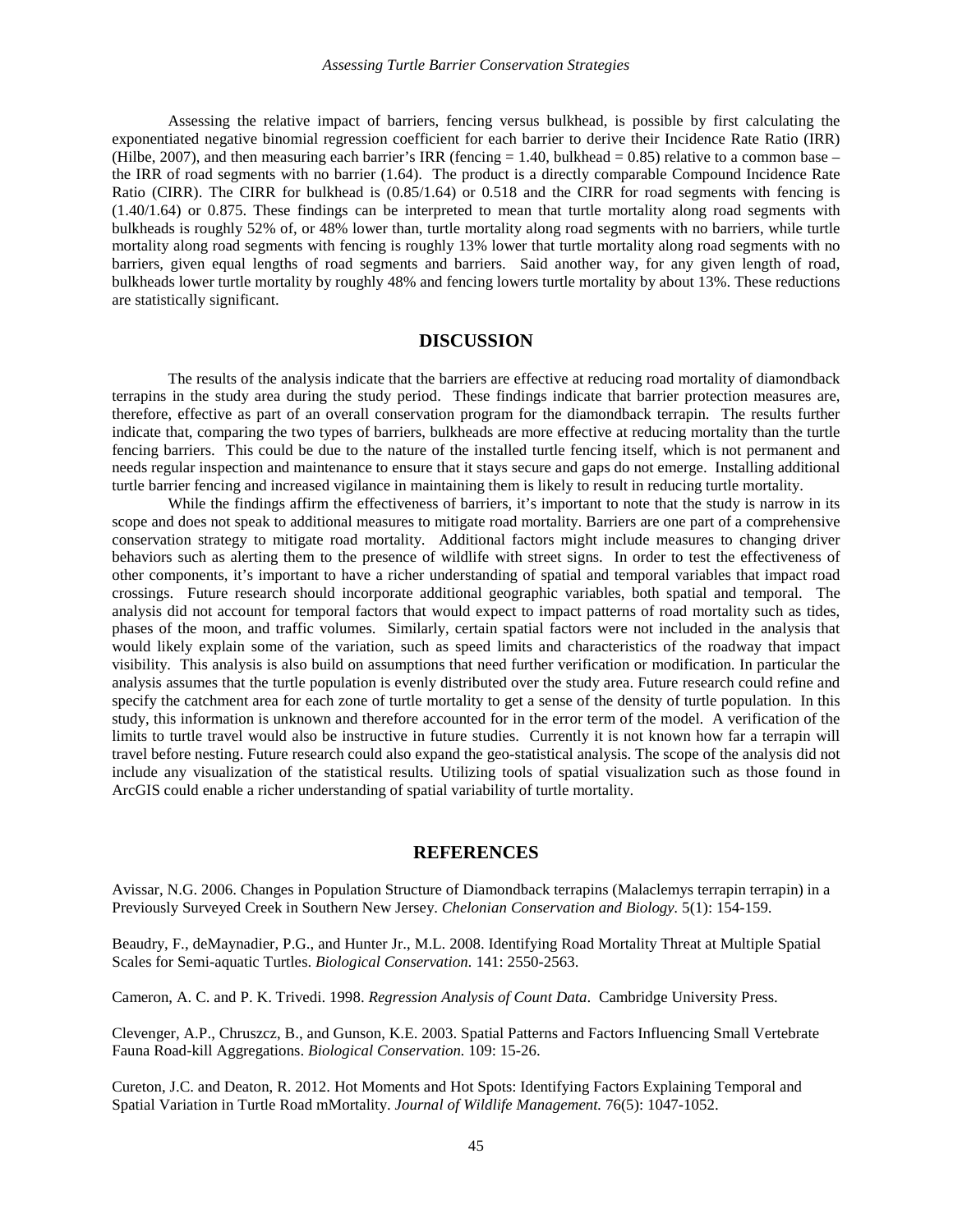Assessing the relative impact of barriers, fencing versus bulkhead, is possible by first calculating the exponentiated negative binomial regression coefficient for each barrier to derive their Incidence Rate Ratio (IRR) (Hilbe, 2007), and then measuring each barrier's IRR (fencing  $= 1.40$ , bulkhead  $= 0.85$ ) relative to a common base – the IRR of road segments with no barrier (1.64). The product is a directly comparable Compound Incidence Rate Ratio (CIRR). The CIRR for bulkhead is  $(0.85/1.64)$  or 0.518 and the CIRR for road segments with fencing is (1.40/1.64) or 0.875. These findings can be interpreted to mean that turtle mortality along road segments with bulkheads is roughly 52% of, or 48% lower than, turtle mortality along road segments with no barriers, while turtle mortality along road segments with fencing is roughly 13% lower that turtle mortality along road segments with no barriers, given equal lengths of road segments and barriers. Said another way, for any given length of road, bulkheads lower turtle mortality by roughly 48% and fencing lowers turtle mortality by about 13%. These reductions are statistically significant.

#### **DISCUSSION**

The results of the analysis indicate that the barriers are effective at reducing road mortality of diamondback terrapins in the study area during the study period. These findings indicate that barrier protection measures are, therefore, effective as part of an overall conservation program for the diamondback terrapin. The results further indicate that, comparing the two types of barriers, bulkheads are more effective at reducing mortality than the turtle fencing barriers. This could be due to the nature of the installed turtle fencing itself, which is not permanent and needs regular inspection and maintenance to ensure that it stays secure and gaps do not emerge. Installing additional turtle barrier fencing and increased vigilance in maintaining them is likely to result in reducing turtle mortality.

While the findings affirm the effectiveness of barriers, it's important to note that the study is narrow in its scope and does not speak to additional measures to mitigate road mortality. Barriers are one part of a comprehensive conservation strategy to mitigate road mortality. Additional factors might include measures to changing driver behaviors such as alerting them to the presence of wildlife with street signs. In order to test the effectiveness of other components, it's important to have a richer understanding of spatial and temporal variables that impact road crossings. Future research should incorporate additional geographic variables, both spatial and temporal. The analysis did not account for temporal factors that would expect to impact patterns of road mortality such as tides, phases of the moon, and traffic volumes. Similarly, certain spatial factors were not included in the analysis that would likely explain some of the variation, such as speed limits and characteristics of the roadway that impact visibility. This analysis is also build on assumptions that need further verification or modification. In particular the analysis assumes that the turtle population is evenly distributed over the study area. Future research could refine and specify the catchment area for each zone of turtle mortality to get a sense of the density of turtle population. In this study, this information is unknown and therefore accounted for in the error term of the model. A verification of the limits to turtle travel would also be instructive in future studies. Currently it is not known how far a terrapin will travel before nesting. Future research could also expand the geo-statistical analysis. The scope of the analysis did not include any visualization of the statistical results. Utilizing tools of spatial visualization such as those found in ArcGIS could enable a richer understanding of spatial variability of turtle mortality.

#### **REFERENCES**

Avissar, N.G. 2006. Changes in Population Structure of Diamondback terrapins (Malaclemys terrapin terrapin) in a Previously Surveyed Creek in Southern New Jersey. *Chelonian Conservation and Biology.* 5(1): 154-159.

Beaudry, F., deMaynadier, P.G., and Hunter Jr., M.L. 2008. Identifying Road Mortality Threat at Multiple Spatial Scales for Semi-aquatic Turtles. *Biological Conservation.* 141: 2550-2563.

Cameron, A. C. and P. K. Trivedi. 1998. *Regression Analysis of Count Data*. Cambridge University Press.

Clevenger, A.P., Chruszcz, B., and Gunson, K.E. 2003. Spatial Patterns and Factors Influencing Small Vertebrate Fauna Road-kill Aggregations. *Biological Conservation.* 109: 15-26.

Cureton, J.C. and Deaton, R. 2012. Hot Moments and Hot Spots: Identifying Factors Explaining Temporal and Spatial Variation in Turtle Road mMortality. *Journal of Wildlife Management.* 76(5): 1047-1052.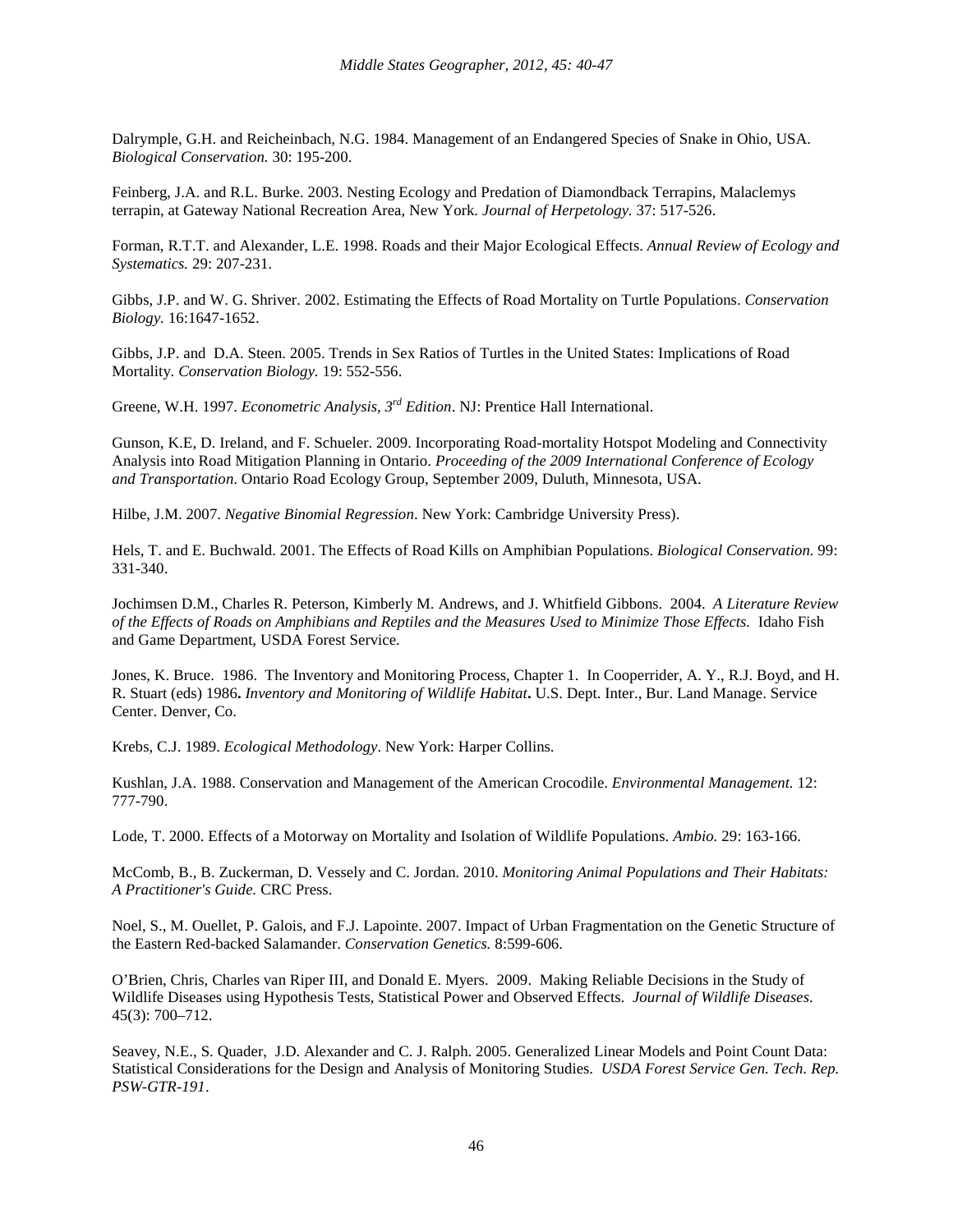Dalrymple, G.H. and Reicheinbach, N.G. 1984. Management of an Endangered Species of Snake in Ohio, USA. *Biological Conservation.* 30: 195-200.

Feinberg, J.A. and R.L. Burke. 2003. Nesting Ecology and Predation of Diamondback Terrapins, Malaclemys terrapin, at Gateway National Recreation Area, New York. *Journal of Herpetology.* 37: 517-526.

Forman, R.T.T. and Alexander, L.E. 1998. Roads and their Major Ecological Effects. *Annual Review of Ecology and Systematics.* 29: 207-231.

Gibbs, J.P. and W. G. Shriver. 2002. Estimating the Effects of Road Mortality on Turtle Populations. *Conservation Biology.* 16:1647-1652.

Gibbs, J.P. and D.A. Steen. 2005. Trends in Sex Ratios of Turtles in the United States: Implications of Road Mortality. *Conservation Biology.* 19: 552-556.

Greene, W.H. 1997. *Econometric Analysis*, *3rd Edition*. NJ: Prentice Hall International.

Gunson, K.E, D. Ireland, and F. Schueler. 2009. Incorporating Road-mortality Hotspot Modeling and Connectivity Analysis into Road Mitigation Planning in Ontario. *Proceeding of the 2009 International Conference of Ecology and Transportation*. Ontario Road Ecology Group, September 2009, Duluth, Minnesota, USA.

Hilbe, J.M. 2007. *Negative Binomial Regression*. New York: Cambridge University Press).

Hels, T. and E. Buchwald. 2001. The Effects of Road Kills on Amphibian Populations. *Biological Conservation.* 99: 331-340.

Jochimsen D.M., Charles R. Peterson, Kimberly M. Andrews, and J. Whitfield Gibbons. 2004. *A Literature Review of the Effects of Roads on Amphibians and Reptiles and the Measures Used to Minimize Those Effects.* Idaho Fish and Game Department, USDA Forest Service.

Jones, K. Bruce. 1986. The Inventory and Monitoring Process, Chapter 1. In Cooperrider, A. Y., R.J. Boyd, and H. R. Stuart (eds) 1986**.** *Inventory and Monitoring of Wildlife Habitat***.** U.S. Dept. Inter., Bur. Land Manage. Service Center. Denver, Co.

Krebs, C.J. 1989. *Ecological Methodology*. New York: Harper Collins.

Kushlan, J.A. 1988. Conservation and Management of the American Crocodile. *Environmental Management.* 12: 777-790.

Lode, T. 2000. Effects of a Motorway on Mortality and Isolation of Wildlife Populations. *Ambio.* 29: 163-166.

McComb, B., B. Zuckerman, D. Vessely and C. Jordan. 2010. *Monitoring Animal Populations and Their Habitats: A Practitioner's Guide.* CRC Press.

Noel, S., M. Ouellet, P. Galois, and F.J. Lapointe. 2007. Impact of Urban Fragmentation on the Genetic Structure of the Eastern Red-backed Salamander. *Conservation Genetics.* 8:599-606.

O'Brien, Chris, Charles van Riper III, and Donald E. Myers. 2009. Making Reliable Decisions in the Study of Wildlife Diseases using Hypothesis Tests, Statistical Power and Observed Effects. *Journal of Wildlife Diseases*. 45(3): 700–712.

Seavey, N.E., S. Quader, J.D. Alexander and C. J. Ralph. 2005. Generalized Linear Models and Point Count Data: Statistical Considerations for the Design and Analysis of Monitoring Studies.*USDA Forest Service Gen. Tech. Rep. PSW-GTR-191*.